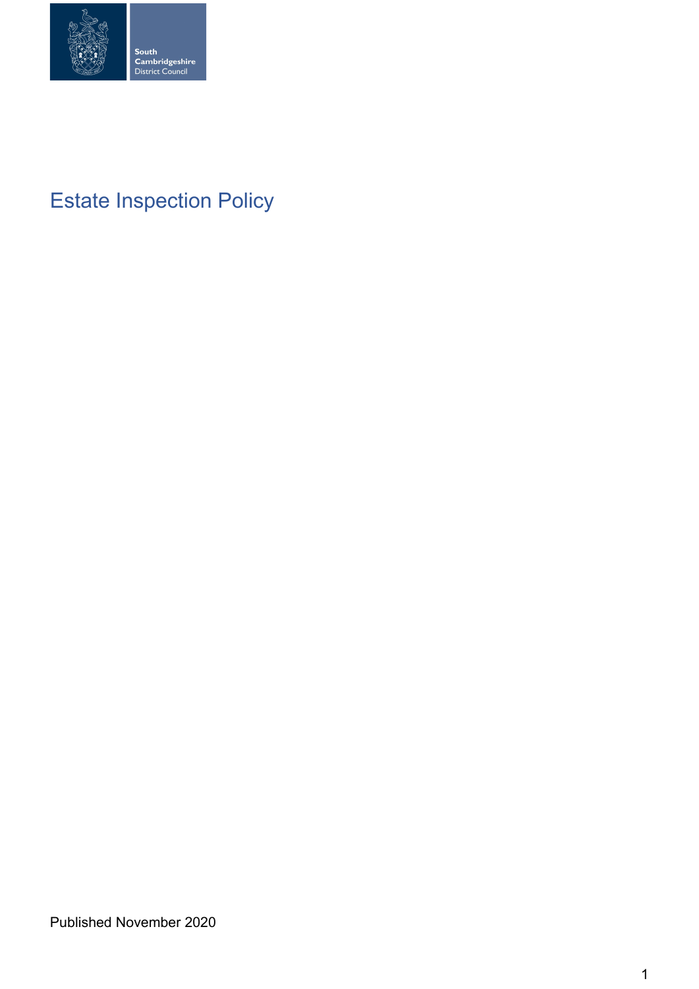

# Estate Inspection Policy

Published November 2020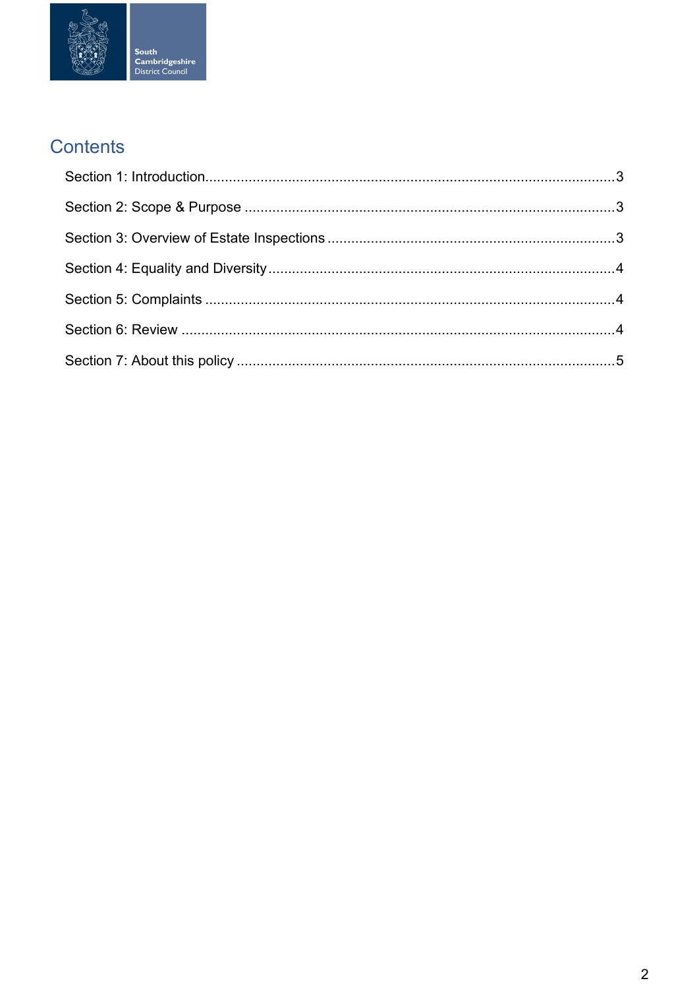

## Contents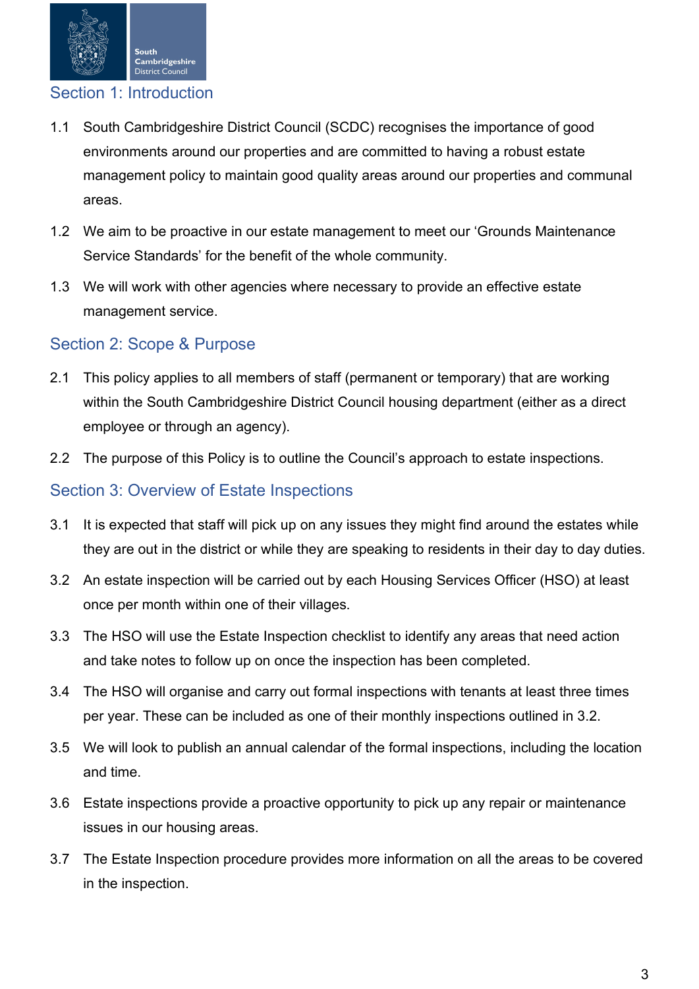

## <span id="page-2-0"></span>Section 1: Introduction

- 1.1 South Cambridgeshire District Council (SCDC) recognises the importance of good environments around our properties and are committed to having a robust estate management policy to maintain good quality areas around our properties and communal areas.
- 1.2 We aim to be proactive in our estate management to meet our 'Grounds Maintenance Service Standards' for the benefit of the whole community.
- 1.3 We will work with other agencies where necessary to provide an effective estate management service.

## <span id="page-2-1"></span>Section 2: Scope & Purpose

- 2.1 This policy applies to all members of staff (permanent or temporary) that are working within the South Cambridgeshire District Council housing department (either as a direct employee or through an agency).
- 2.2 The purpose of this Policy is to outline the Council's approach to estate inspections.

#### <span id="page-2-2"></span>Section 3: Overview of Estate Inspections

- 3.1 It is expected that staff will pick up on any issues they might find around the estates while they are out in the district or while they are speaking to residents in their day to day duties.
- 3.2 An estate inspection will be carried out by each Housing Services Officer (HSO) at least once per month within one of their villages.
- 3.3 The HSO will use the Estate Inspection checklist to identify any areas that need action and take notes to follow up on once the inspection has been completed.
- 3.4 The HSO will organise and carry out formal inspections with tenants at least three times per year. These can be included as one of their monthly inspections outlined in 3.2.
- 3.5 We will look to publish an annual calendar of the formal inspections, including the location and time.
- 3.6 Estate inspections provide a proactive opportunity to pick up any repair or maintenance issues in our housing areas.
- 3.7 The Estate Inspection procedure provides more information on all the areas to be covered in the inspection.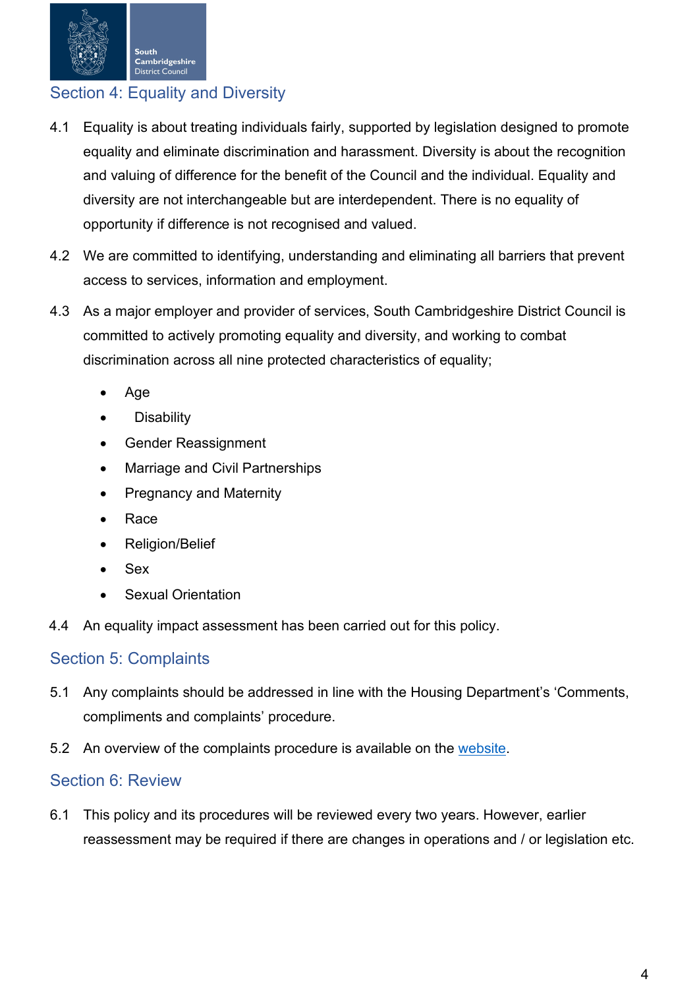

## <span id="page-3-0"></span>Section 4: Equality and Diversity

- 4.1 Equality is about treating individuals fairly, supported by legislation designed to promote equality and eliminate discrimination and harassment. Diversity is about the recognition and valuing of difference for the benefit of the Council and the individual. Equality and diversity are not interchangeable but are interdependent. There is no equality of opportunity if difference is not recognised and valued.
- 4.2 We are committed to identifying, understanding and eliminating all barriers that prevent access to services, information and employment.
- 4.3 As a major employer and provider of services, South Cambridgeshire District Council is committed to actively promoting equality and diversity, and working to combat discrimination across all nine protected characteristics of equality;
	- Age
	- **Disability**
	- Gender Reassignment
	- Marriage and Civil Partnerships
	- Pregnancy and Maternity
	- Race
	- Religion/Belief
	- Sex
	- **Sexual Orientation**
- 4.4 An equality impact assessment has been carried out for this policy.

#### <span id="page-3-1"></span>Section 5: Complaints

- 5.1 Any complaints should be addressed in line with the Housing Department's 'Comments, compliments and complaints' procedure.
- 5.2 An overview of the complaints procedure is available on the [website.](https://www.scambs.gov.uk/housing/housing-complaints-and-compliments/)

## <span id="page-3-2"></span>Section 6: Review

6.1 This policy and its procedures will be reviewed every two years. However, earlier reassessment may be required if there are changes in operations and / or legislation etc.